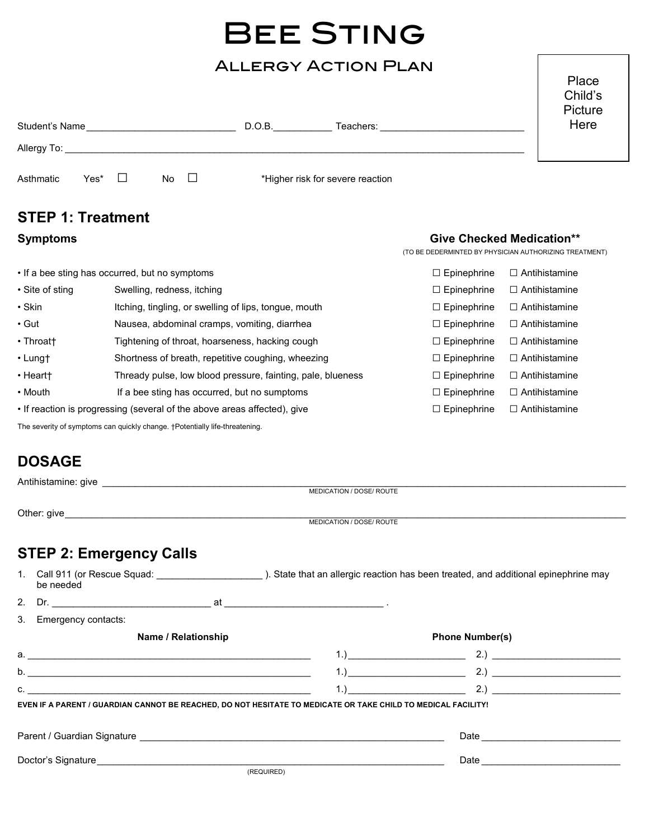# Bee Sting

## Allergy Action Plan

| Student's Name |      |  |           |        | D.O.B. | Teachers:                        | Picture<br>Here |  |
|----------------|------|--|-----------|--------|--------|----------------------------------|-----------------|--|
| Allergy To:    |      |  |           |        |        |                                  |                 |  |
| Asthmatic      | Yes* |  | <b>No</b> | $\Box$ |        | *Higher risk for severe reaction |                 |  |

### STEP 1: Treatment

### Symptoms Give Checked Medication\*\*

Place Child's

(TO BE DEDERMINTED BY PHYSICIAN AUTHORIZING TREATMENT)

|                                                                                                | • If a bee sting has occurred, but no symptoms              | $\Box$ Epinephrine | $\Box$ Antihistamine |
|------------------------------------------------------------------------------------------------|-------------------------------------------------------------|--------------------|----------------------|
| • Site of sting                                                                                | Swelling, redness, itching                                  | $\Box$ Epinephrine | $\Box$ Antihistamine |
| $\cdot$ Skin                                                                                   | Itching, tingling, or swelling of lips, tongue, mouth       | $\Box$ Epinephrine | $\Box$ Antihistamine |
| $\cdot$ Gut                                                                                    | Nausea, abdominal cramps, vomiting, diarrhea                | $\Box$ Epinephrine | $\Box$ Antihistamine |
| • Throatt                                                                                      | Tightening of throat, hoarseness, hacking cough             | $\Box$ Epinephrine | $\Box$ Antihistamine |
| $\cdot$ Lungt                                                                                  | Shortness of breath, repetitive coughing, wheezing          | $\Box$ Epinephrine | $\Box$ Antihistamine |
| • Heartt                                                                                       | Thready pulse, low blood pressure, fainting, pale, blueness | $\Box$ Epinephrine | $\Box$ Antihistamine |
| • Mouth                                                                                        | If a bee sting has occurred, but no sumptoms                | $\Box$ Epinephrine | $\Box$ Antihistamine |
| • If reaction is progressing (several of the above areas affected), give<br>$\Box$ Epinephrine |                                                             |                    | $\Box$ Antihistamine |

The severity of symptoms can quickly change. †Potentially life-threatening.

### DOSAGE

|                                                                                                                                                                                                                               | MEDICATION / DOSE/ ROUTE                                                                                                                                                                                                       |
|-------------------------------------------------------------------------------------------------------------------------------------------------------------------------------------------------------------------------------|--------------------------------------------------------------------------------------------------------------------------------------------------------------------------------------------------------------------------------|
|                                                                                                                                                                                                                               |                                                                                                                                                                                                                                |
|                                                                                                                                                                                                                               | MEDICATION / DOSE/ ROUTE                                                                                                                                                                                                       |
| <b>STEP 2: Emergency Calls</b>                                                                                                                                                                                                |                                                                                                                                                                                                                                |
| be needed                                                                                                                                                                                                                     |                                                                                                                                                                                                                                |
|                                                                                                                                                                                                                               |                                                                                                                                                                                                                                |
| 3. Emergency contacts:                                                                                                                                                                                                        |                                                                                                                                                                                                                                |
| Name / Relationship                                                                                                                                                                                                           | <b>Phone Number(s)</b>                                                                                                                                                                                                         |
|                                                                                                                                                                                                                               |                                                                                                                                                                                                                                |
| b.                                                                                                                                                                                                                            |                                                                                                                                                                                                                                |
| $\mathsf{C}$ .                                                                                                                                                                                                                | $1.)$ $2.)$ $2.)$                                                                                                                                                                                                              |
|                                                                                                                                                                                                                               | EVEN IF A PARENT / GUARDIAN CANNOT BE REACHED, DO NOT HESITATE TO MEDICATE OR TAKE CHILD TO MEDICAL FACILITY!                                                                                                                  |
|                                                                                                                                                                                                                               |                                                                                                                                                                                                                                |
|                                                                                                                                                                                                                               |                                                                                                                                                                                                                                |
| Doctor's Signature Management and Control of the Control of the Control of the Control of the Control of the Control of the Control of the Control of the Control of the Control of the Control of the Control of the Control | Date and the contract of the contract of the contract of the contract of the contract of the contract of the contract of the contract of the contract of the contract of the contract of the contract of the contract of the c |
|                                                                                                                                                                                                                               | (REQUIRED)                                                                                                                                                                                                                     |